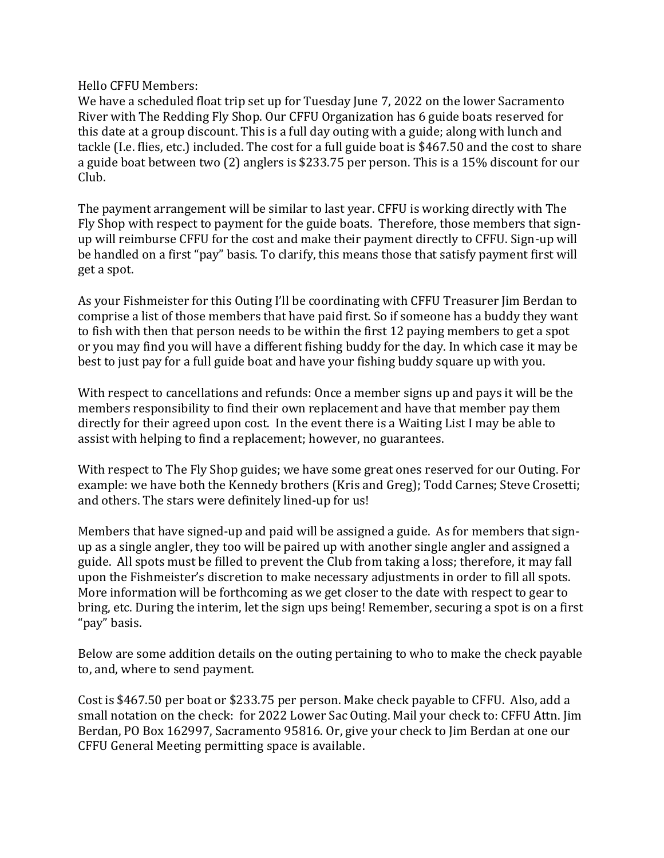Hello CFFU Members:

We have a scheduled float trip set up for Tuesday June 7, 2022 on the lower Sacramento River with The Redding Fly Shop. Our CFFU Organization has 6 guide boats reserved for this date at a group discount. This is a full day outing with a guide; along with lunch and tackle (I.e. flies, etc.) included. The cost for a full guide boat is \$467.50 and the cost to share a guide boat between two (2) anglers is \$233.75 per person. This is a 15% discount for our Club.

The payment arrangement will be similar to last year. CFFU is working directly with The Fly Shop with respect to payment for the guide boats. Therefore, those members that signup will reimburse CFFU for the cost and make their payment directly to CFFU. Sign-up will be handled on a first "pay" basis. To clarify, this means those that satisfy payment first will get a spot.

As your Fishmeister for this Outing I'll be coordinating with CFFU Treasurer Jim Berdan to comprise a list of those members that have paid first. So if someone has a buddy they want to fish with then that person needs to be within the first 12 paying members to get a spot or you may find you will have a different fishing buddy for the day. In which case it may be best to just pay for a full guide boat and have your fishing buddy square up with you.

With respect to cancellations and refunds: Once a member signs up and pays it will be the members responsibility to find their own replacement and have that member pay them directly for their agreed upon cost. In the event there is a Waiting List I may be able to assist with helping to find a replacement; however, no guarantees.

With respect to The Fly Shop guides; we have some great ones reserved for our Outing. For example: we have both the Kennedy brothers (Kris and Greg); Todd Carnes; Steve Crosetti; and others. The stars were definitely lined-up for us!

Members that have signed-up and paid will be assigned a guide. As for members that signup as a single angler, they too will be paired up with another single angler and assigned a guide. All spots must be filled to prevent the Club from taking a loss; therefore, it may fall upon the Fishmeister's discretion to make necessary adjustments in order to fill all spots. More information will be forthcoming as we get closer to the date with respect to gear to bring, etc. During the interim, let the sign ups being! Remember, securing a spot is on a first "pay" basis.

Below are some addition details on the outing pertaining to who to make the check payable to, and, where to send payment.

Cost is \$467.50 per boat or \$233.75 per person. Make check payable to CFFU. Also, add a small notation on the check: for 2022 Lower Sac Outing. Mail your check to: CFFU Attn. Jim Berdan, PO Box 162997, Sacramento 95816. Or, give your check to Jim Berdan at one our CFFU General Meeting permitting space is available.